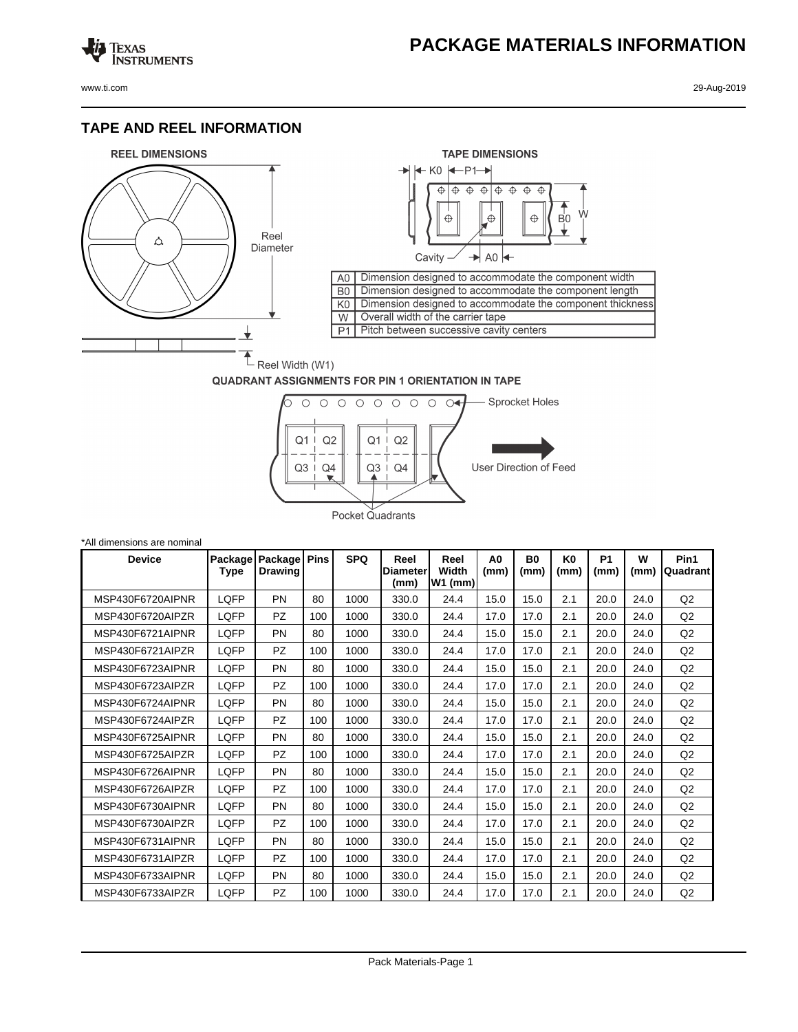### **PACKAGE MATERIALS INFORMATION**

Texas<br>Instruments

#### **TAPE AND REEL INFORMATION**





### **QUADRANT ASSIGNMENTS FOR PIN 1 ORIENTATION IN TAPE**



| *All dimensions are nominal |                 |                           |             |            |                                 |                            |                        |                   |                        |                   |           |                  |
|-----------------------------|-----------------|---------------------------|-------------|------------|---------------------------------|----------------------------|------------------------|-------------------|------------------------|-------------------|-----------|------------------|
| <b>Device</b>               | Package<br>Type | Package<br><b>Drawing</b> | <b>Pins</b> | <b>SPQ</b> | Reel<br><b>Diameter</b><br>(mm) | Reel<br>Width<br>$W1$ (mm) | A <sub>0</sub><br>(mm) | <b>B0</b><br>(mm) | K <sub>0</sub><br>(mm) | <b>P1</b><br>(mm) | W<br>(mm) | Pin1<br>Quadrant |
| MSP430F6720AIPNR            | LQFP            | PN                        | 80          | 1000       | 330.0                           | 24.4                       | 15.0                   | 15.0              | 2.1                    | 20.0              | 24.0      | Q2               |
| MSP430F6720AIPZR            | LQFP            | PZ                        | 100         | 1000       | 330.0                           | 24.4                       | 17.0                   | 17.0              | 2.1                    | 20.0              | 24.0      | Q2               |
| MSP430F6721AIPNR            | LQFP            | PN                        | 80          | 1000       | 330.0                           | 24.4                       | 15.0                   | 15.0              | 2.1                    | 20.0              | 24.0      | Q2               |
| MSP430F6721AIPZR            | LQFP            | <b>PZ</b>                 | 100         | 1000       | 330.0                           | 24.4                       | 17.0                   | 17.0              | 2.1                    | 20.0              | 24.0      | Q2               |
| MSP430F6723AIPNR            | LQFP            | PN                        | 80          | 1000       | 330.0                           | 24.4                       | 15.0                   | 15.0              | 2.1                    | 20.0              | 24.0      | Q2               |
| MSP430F6723AIPZR            | LQFP            | <b>PZ</b>                 | 100         | 1000       | 330.0                           | 24.4                       | 17.0                   | 17.0              | 2.1                    | 20.0              | 24.0      | Q2               |
| MSP430F6724AIPNR            | LQFP            | PN                        | 80          | 1000       | 330.0                           | 24.4                       | 15.0                   | 15.0              | 2.1                    | 20.0              | 24.0      | Q2               |
| MSP430F6724AIPZR            | LOFP            | <b>PZ</b>                 | 100         | 1000       | 330.0                           | 24.4                       | 17.0                   | 17.0              | 2.1                    | 20.0              | 24.0      | Q2               |
| MSP430F6725AIPNR            | LQFP            | PN                        | 80          | 1000       | 330.0                           | 24.4                       | 15.0                   | 15.0              | 2.1                    | 20.0              | 24.0      | Q2               |
| MSP430F6725AIPZR            | LQFP            | PZ                        | 100         | 1000       | 330.0                           | 24.4                       | 17.0                   | 17.0              | 2.1                    | 20.0              | 24.0      | Q2               |
| MSP430F6726AIPNR            | LQFP            | PN                        | 80          | 1000       | 330.0                           | 24.4                       | 15.0                   | 15.0              | 2.1                    | 20.0              | 24.0      | Q2               |
| MSP430F6726AIPZR            | LQFP            | <b>PZ</b>                 | 100         | 1000       | 330.0                           | 24.4                       | 17.0                   | 17.0              | 2.1                    | 20.0              | 24.0      | Q2               |
| MSP430F6730AIPNR            | LQFP            | PN                        | 80          | 1000       | 330.0                           | 24.4                       | 15.0                   | 15.0              | 2.1                    | 20.0              | 24.0      | Q2               |
| MSP430F6730AIPZR            | LQFP            | <b>PZ</b>                 | 100         | 1000       | 330.0                           | 24.4                       | 17.0                   | 17.0              | 2.1                    | 20.0              | 24.0      | Q2               |
| MSP430F6731AIPNR            | LQFP            | PN                        | 80          | 1000       | 330.0                           | 24.4                       | 15.0                   | 15.0              | 2.1                    | 20.0              | 24.0      | Q2               |
| MSP430F6731AIPZR            | LQFP            | <b>PZ</b>                 | 100         | 1000       | 330.0                           | 24.4                       | 17.0                   | 17.0              | 2.1                    | 20.0              | 24.0      | Q2               |
| MSP430F6733AIPNR            | LQFP            | PN                        | 80          | 1000       | 330.0                           | 24.4                       | 15.0                   | 15.0              | 2.1                    | 20.0              | 24.0      | Q2               |
| MSP430F6733AIPZR            | LQFP            | PZ                        | 100         | 1000       | 330.0                           | 24.4                       | 17.0                   | 17.0              | 2.1                    | 20.0              | 24.0      | Q2               |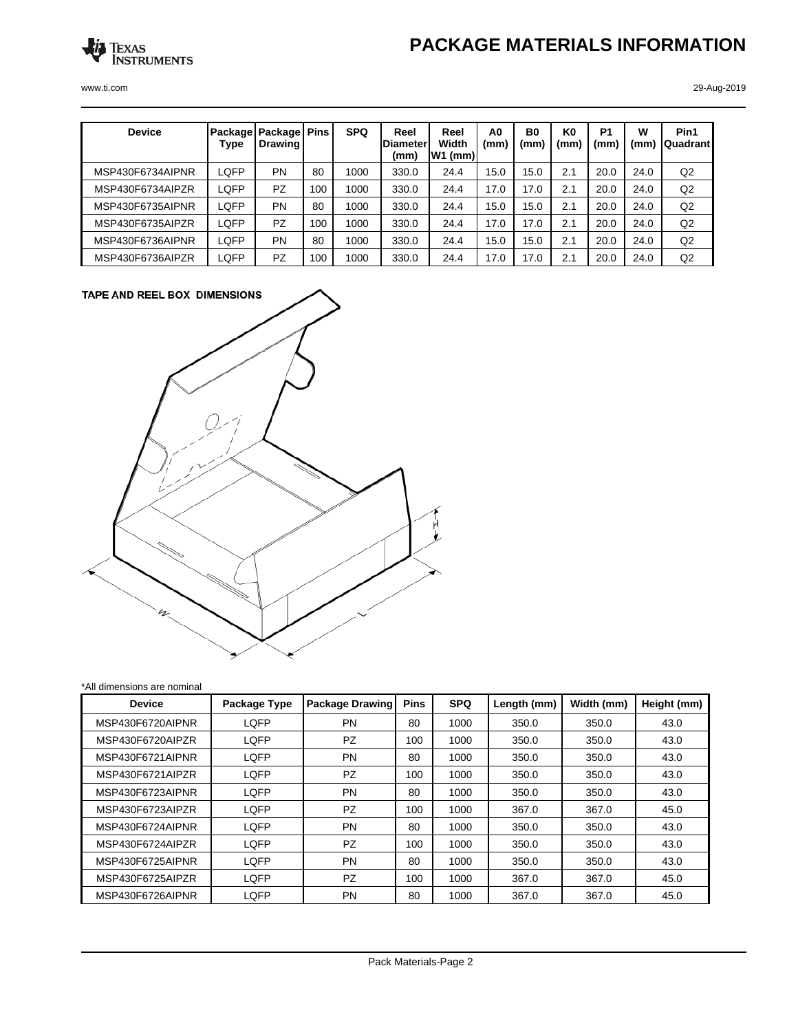# **PACKAGE MATERIALS INFORMATION**



www.ti.com 29-Aug-2019

| <b>Device</b>    | Package<br>Type | Package   Pins<br><b>Drawing</b> |     | <b>SPQ</b> | Reel<br><b>IDiameter</b><br>(mm) | Reel<br>Width<br>(mm)<br>IW1 | A0<br>(mm) | B <sub>0</sub><br>(mm | K <sub>0</sub><br>(mm) | P <sub>1</sub><br>(mm) | W<br>(mm) | Pin1<br>Quadrant |
|------------------|-----------------|----------------------------------|-----|------------|----------------------------------|------------------------------|------------|-----------------------|------------------------|------------------------|-----------|------------------|
| MSP430F6734AIPNR | LQFP            | PN                               | 80  | 1000       | 330.0                            | 24.4                         | 15.0       | 15.0                  | 2.1                    | 20.0                   | 24.0      | Q <sub>2</sub>   |
| MSP430F6734AIPZR | LOFP            | PZ                               | 100 | 1000       | 330.0                            | 24.4                         | 17.0       | 17.0                  | 2.1                    | 20.0                   | 24.0      | Q <sub>2</sub>   |
| MSP430F6735AIPNR | LOFP            | PN                               | 80  | 1000       | 330.0                            | 24.4                         | 15.0       | 15.0                  | 2.1                    | 20.0                   | 24.0      | Q <sub>2</sub>   |
| MSP430F6735AIPZR | LQFP            | PZ                               | 100 | 1000       | 330.0                            | 24.4                         | 17.0       | 17.0                  | 2.1                    | 20.0                   | 24.0      | Q <sub>2</sub>   |
| MSP430F6736AIPNR | LOFP            | <b>PN</b>                        | 80  | 1000       | 330.0                            | 24.4                         | 15.0       | 15.0                  | 2.1                    | 20.0                   | 24.0      | Q <sub>2</sub>   |
| MSP430F6736AIPZR | <b>LQFP</b>     | PZ                               | 100 | 1000       | 330.0                            | 24.4                         | 17.0       | 17.0                  | 2.1                    | 20.0                   | 24.0      | Q2               |



| *All dimensions are nominal |              |                        |             |            |             |            |             |
|-----------------------------|--------------|------------------------|-------------|------------|-------------|------------|-------------|
| <b>Device</b>               | Package Type | <b>Package Drawing</b> | <b>Pins</b> | <b>SPQ</b> | Length (mm) | Width (mm) | Height (mm) |
| MSP430F6720AIPNR            | LOFP         | <b>PN</b>              | 80          | 1000       | 350.0       | 350.0      | 43.0        |
| MSP430F6720AIPZR            | LQFP         | PZ.                    | 100         | 1000       | 350.0       | 350.0      | 43.0        |
| MSP430F6721AIPNR            | LQFP         | <b>PN</b>              | 80          | 1000       | 350.0       | 350.0      | 43.0        |
| MSP430F6721AIPZR            | LQFP         | <b>PZ</b>              | 100         | 1000       | 350.0       | 350.0      | 43.0        |
| MSP430F6723AIPNR            | LQFP         | <b>PN</b>              | 80          | 1000       | 350.0       | 350.0      | 43.0        |
| MSP430F6723AIPZR            | LQFP         | PZ.                    | 100         | 1000       | 367.0       | 367.0      | 45.0        |
| MSP430F6724AIPNR            | LQFP         | <b>PN</b>              | 80          | 1000       | 350.0       | 350.0      | 43.0        |
| MSP430F6724AIPZR            | LQFP         | PZ.                    | 100         | 1000       | 350.0       | 350.0      | 43.0        |
| MSP430F6725AIPNR            | LQFP         | <b>PN</b>              | 80          | 1000       | 350.0       | 350.0      | 43.0        |
| MSP430F6725AIPZR            | LQFP         | <b>PZ</b>              | 100         | 1000       | 367.0       | 367.0      | 45.0        |
| MSP430F6726AIPNR            | LQFP         | <b>PN</b>              | 80          | 1000       | 367.0       | 367.0      | 45.0        |